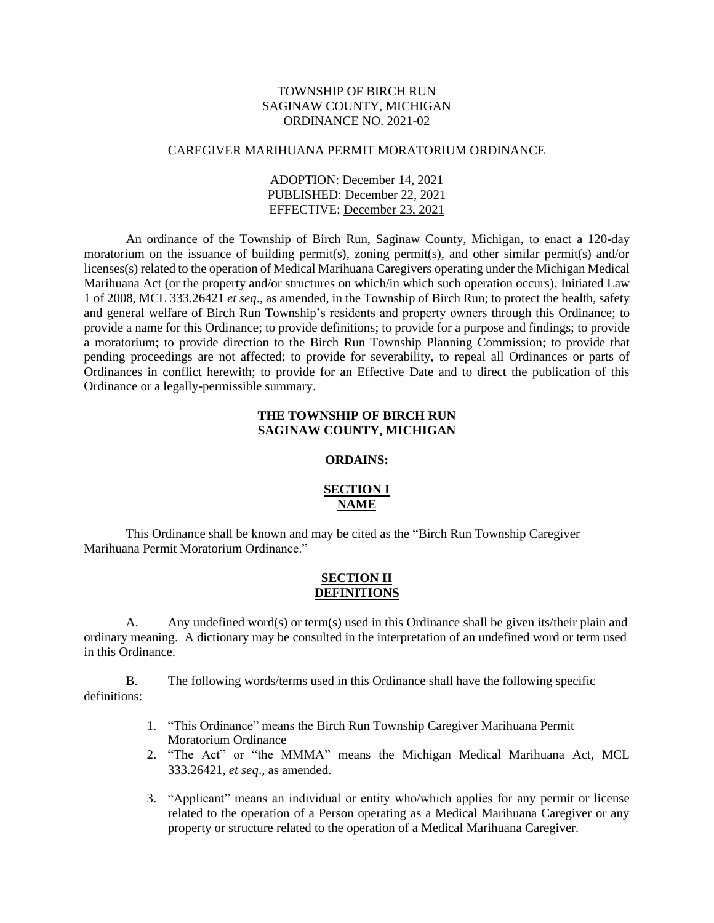## TOWNSHIP OF BIRCH RUN SAGINAW COUNTY, MICHIGAN ORDINANCE NO. 2021-02

#### CAREGIVER MARIHUANA PERMIT MORATORIUM ORDINANCE

ADOPTION: December 14, 2021 PUBLISHED: December 22, 2021 EFFECTIVE: December 23, 2021

An ordinance of the Township of Birch Run, Saginaw County, Michigan, to enact a 120-day moratorium on the issuance of building permit(s), zoning permit(s), and other similar permit(s) and/or licenses(s) related to the operation of Medical Marihuana Caregivers operating under the Michigan Medical Marihuana Act (or the property and/or structures on which/in which such operation occurs), Initiated Law 1 of 2008, MCL 333.26421 *et seq*., as amended, in the Township of Birch Run; to protect the health, safety and general welfare of Birch Run Township's residents and property owners through this Ordinance; to provide a name for this Ordinance; to provide definitions; to provide for a purpose and findings; to provide a moratorium; to provide direction to the Birch Run Township Planning Commission; to provide that pending proceedings are not affected; to provide for severability, to repeal all Ordinances or parts of Ordinances in conflict herewith; to provide for an Effective Date and to direct the publication of this Ordinance or a legally-permissible summary.

### **THE TOWNSHIP OF BIRCH RUN SAGINAW COUNTY, MICHIGAN**

#### **ORDAINS:**

## **SECTION I NAME**

This Ordinance shall be known and may be cited as the "Birch Run Township Caregiver Marihuana Permit Moratorium Ordinance."

#### **SECTION II DEFINITIONS**

A. Any undefined word(s) or term(s) used in this Ordinance shall be given its/their plain and ordinary meaning. A dictionary may be consulted in the interpretation of an undefined word or term used in this Ordinance.

B. The following words/terms used in this Ordinance shall have the following specific definitions:

- 1. "This Ordinance" means the Birch Run Township Caregiver Marihuana Permit Moratorium Ordinance
- 2. "The Act" or "the MMMA" means the Michigan Medical Marihuana Act, MCL 333.26421, *et seq*., as amended.
- 3. "Applicant" means an individual or entity who/which applies for any permit or license related to the operation of a Person operating as a Medical Marihuana Caregiver or any property or structure related to the operation of a Medical Marihuana Caregiver.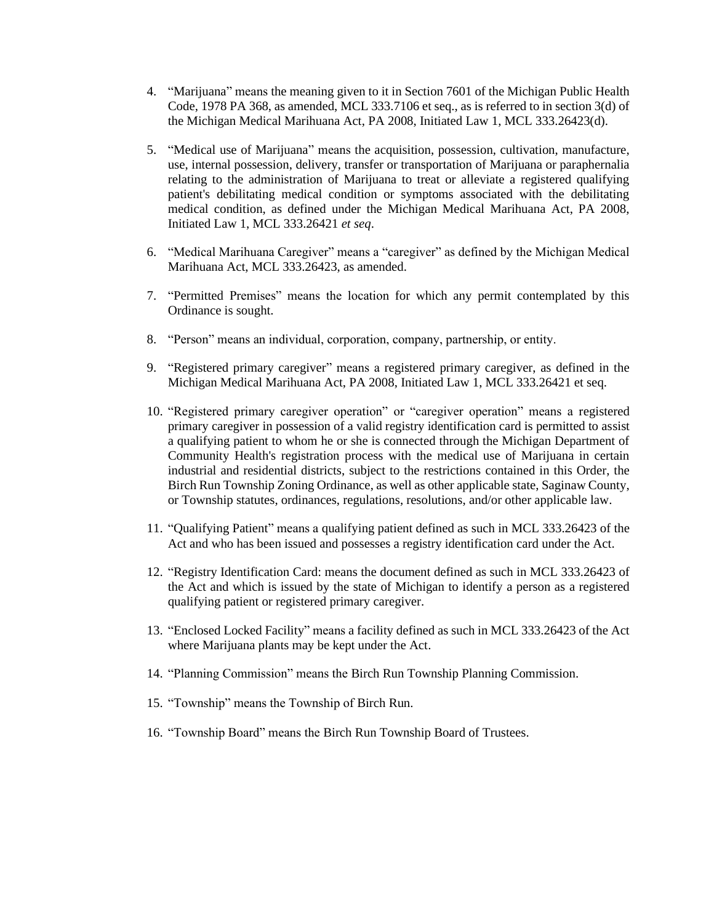- 4. "Marijuana" means the meaning given to it in Section 7601 of the Michigan Public Health Code, 1978 PA 368, as amended, MCL 333.7106 et seq., as is referred to in section 3(d) of the Michigan Medical Marihuana Act, PA 2008, Initiated Law 1, MCL 333.26423(d).
- 5. "Medical use of Marijuana" means the acquisition, possession, cultivation, manufacture, use, internal possession, delivery, transfer or transportation of Marijuana or paraphernalia relating to the administration of Marijuana to treat or alleviate a registered qualifying patient's debilitating medical condition or symptoms associated with the debilitating medical condition, as defined under the Michigan Medical Marihuana Act, PA 2008, Initiated Law 1, MCL 333.26421 *et seq*.
- 6. "Medical Marihuana Caregiver" means a "caregiver" as defined by the Michigan Medical Marihuana Act, MCL 333.26423, as amended.
- 7. "Permitted Premises" means the location for which any permit contemplated by this Ordinance is sought.
- 8. "Person" means an individual, corporation, company, partnership, or entity.
- 9. "Registered primary caregiver" means a registered primary caregiver, as defined in the Michigan Medical Marihuana Act, PA 2008, Initiated Law 1, MCL 333.26421 et seq.
- 10. "Registered primary caregiver operation" or "caregiver operation" means a registered primary caregiver in possession of a valid registry identification card is permitted to assist a qualifying patient to whom he or she is connected through the Michigan Department of Community Health's registration process with the medical use of Marijuana in certain industrial and residential districts, subject to the restrictions contained in this Order, the Birch Run Township Zoning Ordinance, as well as other applicable state, Saginaw County, or Township statutes, ordinances, regulations, resolutions, and/or other applicable law.
- 11. "Qualifying Patient" means a qualifying patient defined as such in MCL 333.26423 of the Act and who has been issued and possesses a registry identification card under the Act.
- 12. "Registry Identification Card: means the document defined as such in MCL 333.26423 of the Act and which is issued by the state of Michigan to identify a person as a registered qualifying patient or registered primary caregiver.
- 13. "Enclosed Locked Facility" means a facility defined as such in MCL 333.26423 of the Act where Marijuana plants may be kept under the Act.
- 14. "Planning Commission" means the Birch Run Township Planning Commission.
- 15. "Township" means the Township of Birch Run.
- 16. "Township Board" means the Birch Run Township Board of Trustees.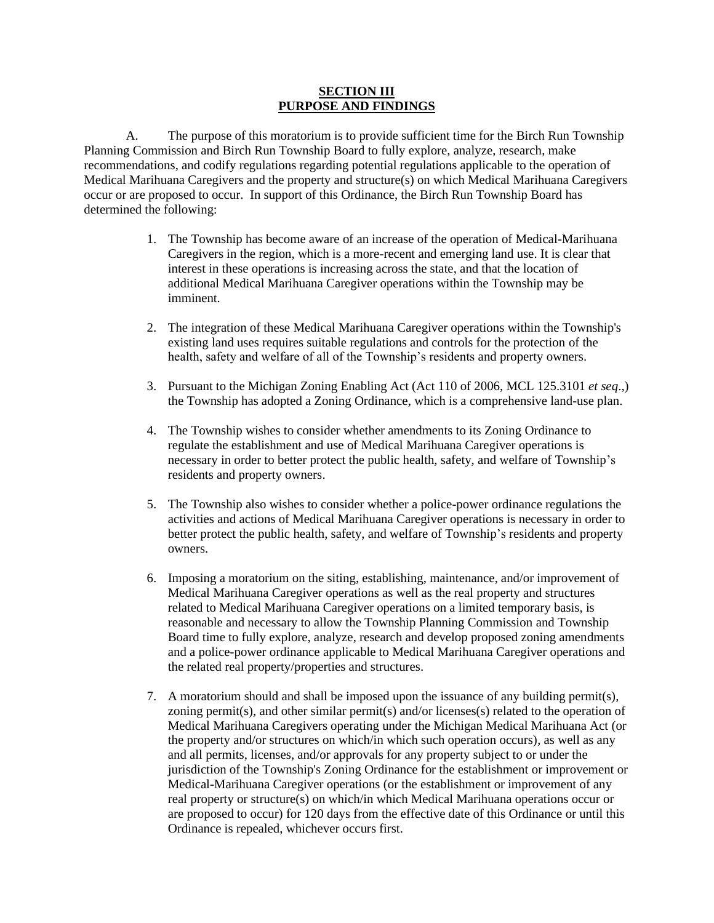#### **SECTION III PURPOSE AND FINDINGS**

A. The purpose of this moratorium is to provide sufficient time for the Birch Run Township Planning Commission and Birch Run Township Board to fully explore, analyze, research, make recommendations, and codify regulations regarding potential regulations applicable to the operation of Medical Marihuana Caregivers and the property and structure(s) on which Medical Marihuana Caregivers occur or are proposed to occur. In support of this Ordinance, the Birch Run Township Board has determined the following:

- 1. The Township has become aware of an increase of the operation of Medical-Marihuana Caregivers in the region, which is a more-recent and emerging land use. It is clear that interest in these operations is increasing across the state, and that the location of additional Medical Marihuana Caregiver operations within the Township may be imminent.
- 2. The integration of these Medical Marihuana Caregiver operations within the Township's existing land uses requires suitable regulations and controls for the protection of the health, safety and welfare of all of the Township's residents and property owners.
- 3. Pursuant to the Michigan Zoning Enabling Act (Act 110 of 2006, MCL 125.3101 *et seq*.,) the Township has adopted a Zoning Ordinance, which is a comprehensive land-use plan.
- 4. The Township wishes to consider whether amendments to its Zoning Ordinance to regulate the establishment and use of Medical Marihuana Caregiver operations is necessary in order to better protect the public health, safety, and welfare of Township's residents and property owners.
- 5. The Township also wishes to consider whether a police-power ordinance regulations the activities and actions of Medical Marihuana Caregiver operations is necessary in order to better protect the public health, safety, and welfare of Township's residents and property owners.
- 6. Imposing a moratorium on the siting, establishing, maintenance, and/or improvement of Medical Marihuana Caregiver operations as well as the real property and structures related to Medical Marihuana Caregiver operations on a limited temporary basis, is reasonable and necessary to allow the Township Planning Commission and Township Board time to fully explore, analyze, research and develop proposed zoning amendments and a police-power ordinance applicable to Medical Marihuana Caregiver operations and the related real property/properties and structures.
- 7. A moratorium should and shall be imposed upon the issuance of any building permit(s), zoning permit(s), and other similar permit(s) and/or licenses(s) related to the operation of Medical Marihuana Caregivers operating under the Michigan Medical Marihuana Act (or the property and/or structures on which/in which such operation occurs), as well as any and all permits, licenses, and/or approvals for any property subject to or under the jurisdiction of the Township's Zoning Ordinance for the establishment or improvement or Medical-Marihuana Caregiver operations (or the establishment or improvement of any real property or structure(s) on which/in which Medical Marihuana operations occur or are proposed to occur) for 120 days from the effective date of this Ordinance or until this Ordinance is repealed, whichever occurs first.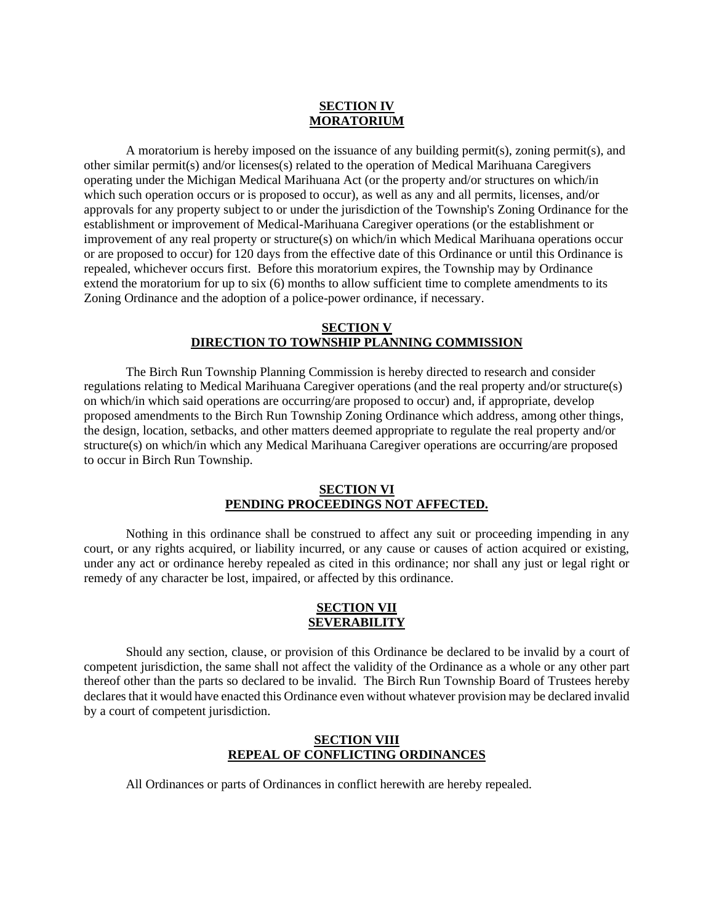# **SECTION IV MORATORIUM**

A moratorium is hereby imposed on the issuance of any building permit(s), zoning permit(s), and other similar permit(s) and/or licenses(s) related to the operation of Medical Marihuana Caregivers operating under the Michigan Medical Marihuana Act (or the property and/or structures on which/in which such operation occurs or is proposed to occur), as well as any and all permits, licenses, and/or approvals for any property subject to or under the jurisdiction of the Township's Zoning Ordinance for the establishment or improvement of Medical-Marihuana Caregiver operations (or the establishment or improvement of any real property or structure(s) on which/in which Medical Marihuana operations occur or are proposed to occur) for 120 days from the effective date of this Ordinance or until this Ordinance is repealed, whichever occurs first. Before this moratorium expires, the Township may by Ordinance extend the moratorium for up to six (6) months to allow sufficient time to complete amendments to its Zoning Ordinance and the adoption of a police-power ordinance, if necessary.

## **SECTION V DIRECTION TO TOWNSHIP PLANNING COMMISSION**

The Birch Run Township Planning Commission is hereby directed to research and consider regulations relating to Medical Marihuana Caregiver operations (and the real property and/or structure(s) on which/in which said operations are occurring/are proposed to occur) and, if appropriate, develop proposed amendments to the Birch Run Township Zoning Ordinance which address, among other things, the design, location, setbacks, and other matters deemed appropriate to regulate the real property and/or structure(s) on which/in which any Medical Marihuana Caregiver operations are occurring/are proposed to occur in Birch Run Township.

# **SECTION VI PENDING PROCEEDINGS NOT AFFECTED.**

Nothing in this ordinance shall be construed to affect any suit or proceeding impending in any court, or any rights acquired, or liability incurred, or any cause or causes of action acquired or existing, under any act or ordinance hereby repealed as cited in this ordinance; nor shall any just or legal right or remedy of any character be lost, impaired, or affected by this ordinance.

#### **SECTION VII SEVERABILITY**

Should any section, clause, or provision of this Ordinance be declared to be invalid by a court of competent jurisdiction, the same shall not affect the validity of the Ordinance as a whole or any other part thereof other than the parts so declared to be invalid. The Birch Run Township Board of Trustees hereby declares that it would have enacted this Ordinance even without whatever provision may be declared invalid by a court of competent jurisdiction.

## **SECTION VIII REPEAL OF CONFLICTING ORDINANCES**

All Ordinances or parts of Ordinances in conflict herewith are hereby repealed.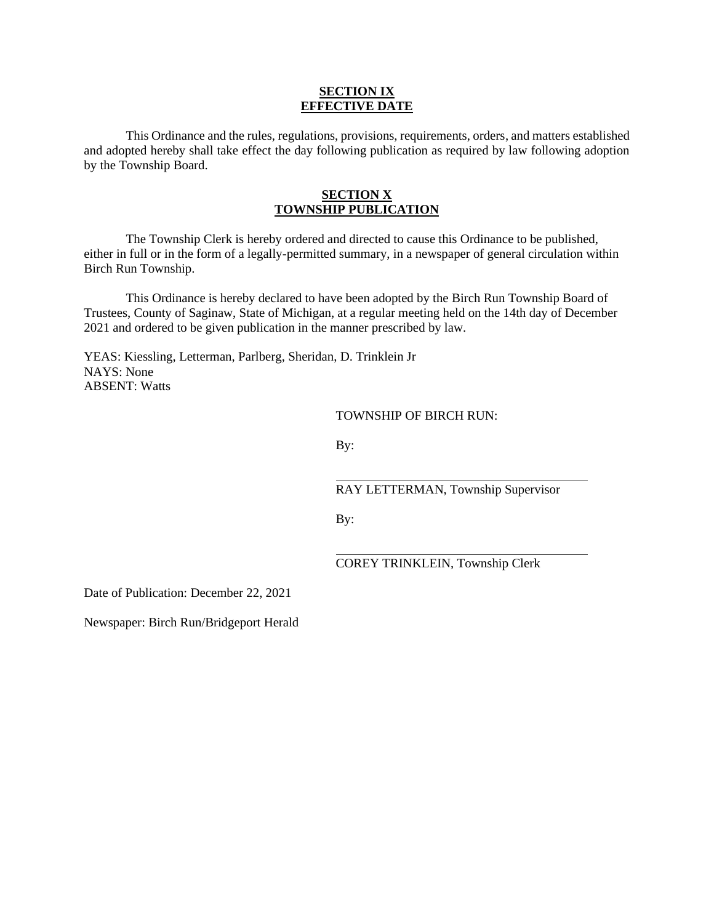#### **SECTION IX EFFECTIVE DATE**

This Ordinance and the rules, regulations, provisions, requirements, orders, and matters established and adopted hereby shall take effect the day following publication as required by law following adoption by the Township Board.

## **SECTION X TOWNSHIP PUBLICATION**

The Township Clerk is hereby ordered and directed to cause this Ordinance to be published, either in full or in the form of a legally-permitted summary, in a newspaper of general circulation within Birch Run Township.

This Ordinance is hereby declared to have been adopted by the Birch Run Township Board of Trustees, County of Saginaw, State of Michigan, at a regular meeting held on the 14th day of December 2021 and ordered to be given publication in the manner prescribed by law.

YEAS: Kiessling, Letterman, Parlberg, Sheridan, D. Trinklein Jr NAYS: None ABSENT: Watts

TOWNSHIP OF BIRCH RUN:

By:

RAY LETTERMAN, Township Supervisor

By:

COREY TRINKLEIN, Township Clerk

Date of Publication: December 22, 2021

Newspaper: Birch Run/Bridgeport Herald